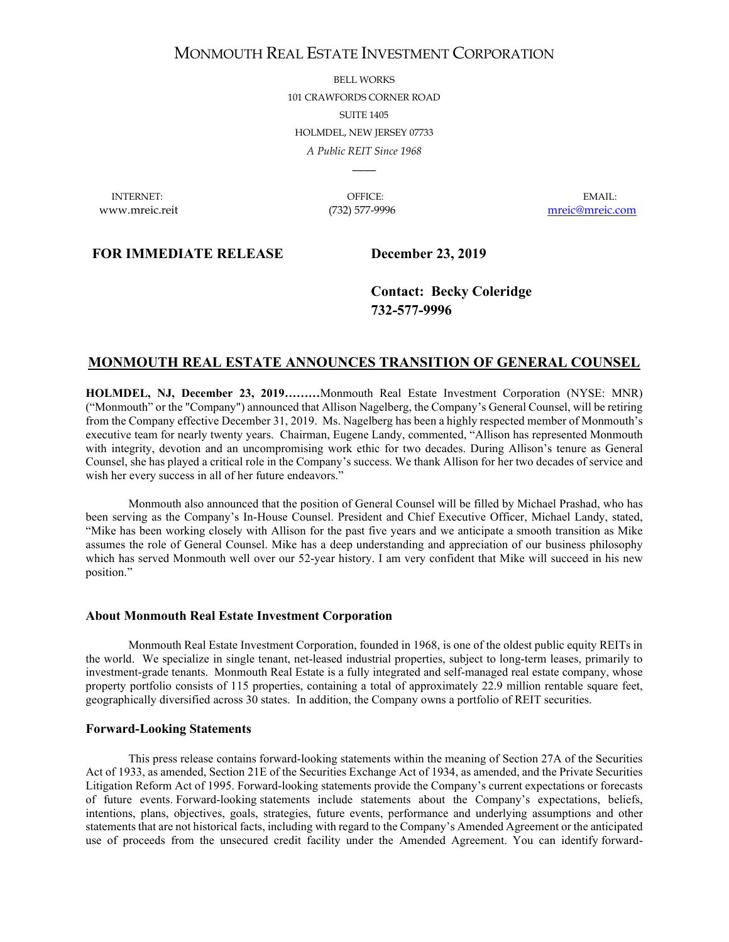# MONMOUTH REAL ESTATE INVESTMENT CORPORATION

BELL WORKS 101 CRAWFORDS CORNER ROAD SUITE 1405 HOLMDEL, NEW JERSEY 07733 *A Public REIT Since 1968*

INTERNET: OFFICE: EMAIL:

 $\overline{\phantom{a}}$ 

www.mreic.reit (732) 577-9996 [mreic@mreic.com](mailto:mreic@mreic.com)

## **FOR IMMEDIATE RELEASE December 23, 2019**

**Contact: Becky Coleridge 732-577-9996**

## **MONMOUTH REAL ESTATE ANNOUNCES TRANSITION OF GENERAL COUNSEL**

**HOLMDEL, NJ, December 23, 2019………**Monmouth Real Estate Investment Corporation (NYSE: MNR) ("Monmouth" or the "Company") announced that Allison Nagelberg, the Company's General Counsel, will be retiring from the Company effective December 31, 2019. Ms. Nagelberg has been a highly respected member of Monmouth's executive team for nearly twenty years. Chairman, Eugene Landy, commented, "Allison has represented Monmouth with integrity, devotion and an uncompromising work ethic for two decades. During Allison's tenure as General Counsel, she has played a critical role in the Company's success. We thank Allison for her two decades of service and wish her every success in all of her future endeavors."

Monmouth also announced that the position of General Counsel will be filled by Michael Prashad, who has been serving as the Company's In-House Counsel. President and Chief Executive Officer, Michael Landy, stated, "Mike has been working closely with Allison for the past five years and we anticipate a smooth transition as Mike assumes the role of General Counsel. Mike has a deep understanding and appreciation of our business philosophy which has served Monmouth well over our 52-year history. I am very confident that Mike will succeed in his new position."

#### **About Monmouth Real Estate Investment Corporation**

Monmouth Real Estate Investment Corporation, founded in 1968, is one of the oldest public equity REITs in the world. We specialize in single tenant, net-leased industrial properties, subject to long-term leases, primarily to investment-grade tenants. Monmouth Real Estate is a fully integrated and self-managed real estate company, whose property portfolio consists of 115 properties, containing a total of approximately 22.9 million rentable square feet, geographically diversified across 30 states. In addition, the Company owns a portfolio of REIT securities.

#### **Forward-Looking Statements**

This press release contains forward-looking statements within the meaning of Section 27A of the Securities Act of 1933, as amended, Section 21E of the Securities Exchange Act of 1934, as amended, and the Private Securities Litigation Reform Act of 1995. Forward-looking statements provide the Company's current expectations or forecasts of future events. Forward-looking statements include statements about the Company's expectations, beliefs, intentions, plans, objectives, goals, strategies, future events, performance and underlying assumptions and other statements that are not historical facts, including with regard to the Company's Amended Agreement or the anticipated use of proceeds from the unsecured credit facility under the Amended Agreement. You can identify forward